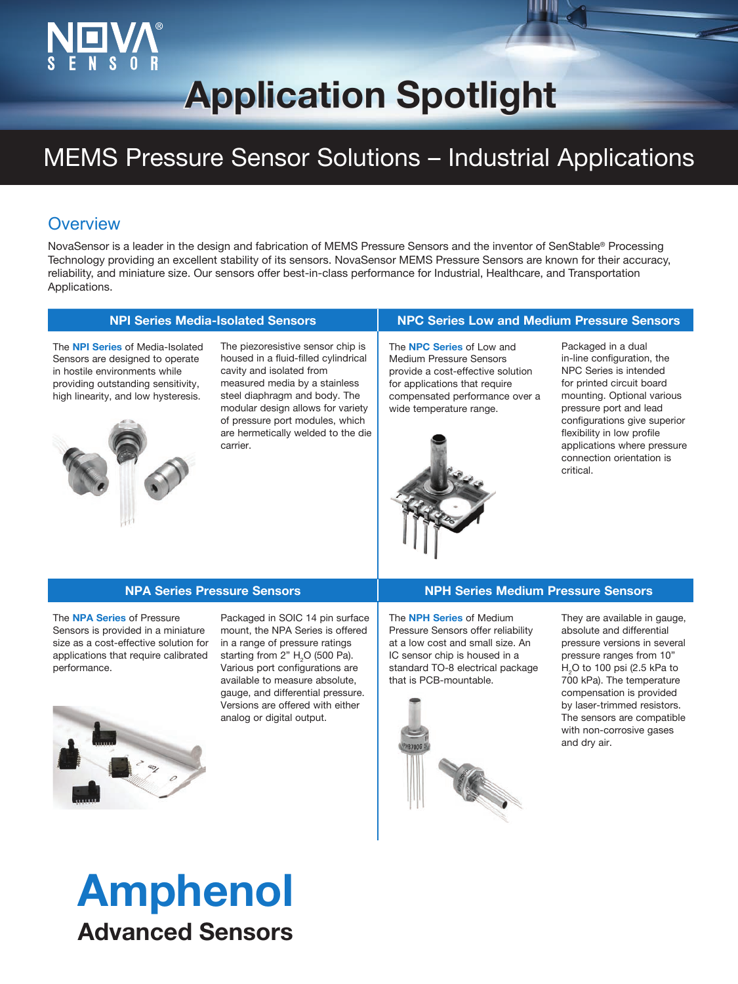# **Application Spotlight Application Spotlight**

## MEMS Pressure Sensor Solutions – Industrial Applications

### **Overview**

NovaSensor is a leader in the design and fabrication of MEMS Pressure Sensors and the inventor of SenStable® Processing Technology providing an excellent stability of its sensors. NovaSensor MEMS Pressure Sensors are known for their accuracy, reliability, and miniature size. Our sensors offer best-in-class performance for Industrial, Healthcare, and Transportation Applications.

### **NPI Series Media-Isolated Sensors NPC Series Low and Medium Pressure Sensors**

The **NPI Series** of Media-Isolated Sensors are designed to operate in hostile environments while providing outstanding sensitivity, high linearity, and low hysteresis.



The piezoresistive sensor chip is housed in a fluid-filled cylindrical cavity and isolated from measured media by a stainless steel diaphragm and body. The modular design allows for variety of pressure port modules, which are hermetically welded to the die carrier.

The **NPC Series** of Low and Medium Pressure Sensors provide a cost-effective solution for applications that require compensated performance over a



wide temperature range.

Packaged in a dual in-line configuration, the NPC Series is intended for printed circuit board mounting. Optional various pressure port and lead configurations give superior flexibility in low profile applications where pressure connection orientation is critical.

The **NPA Series** of Pressure Sensors is provided in a miniature size as a cost-effective solution for applications that require calibrated performance.

Ī



Packaged in SOIC 14 pin surface mount, the NPA Series is offered in a range of pressure ratings starting from 2"  $H<sub>2</sub>$ O (500 Pa). Various port configurations are available to measure absolute, gauge, and differential pressure. Versions are offered with either analog or digital output.

### **NPA Series Pressure Sensors NPH Series Medium Pressure Sensors**

The **NPH Series** of Medium Pressure Sensors offer reliability at a low cost and small size. An IC sensor chip is housed in a standard TO-8 electrical package that is PCB-mountable.



They are available in gauge, absolute and differential pressure versions in several pressure ranges from 10"  ${\sf H_2O}$  to 100 psi (2.5 kPa to 700 kPa). The temperature compensation is provided by laser-trimmed resistors. The sensors are compatible with non-corrosive gases and dry air.

# Amphenol Advanced Sensors